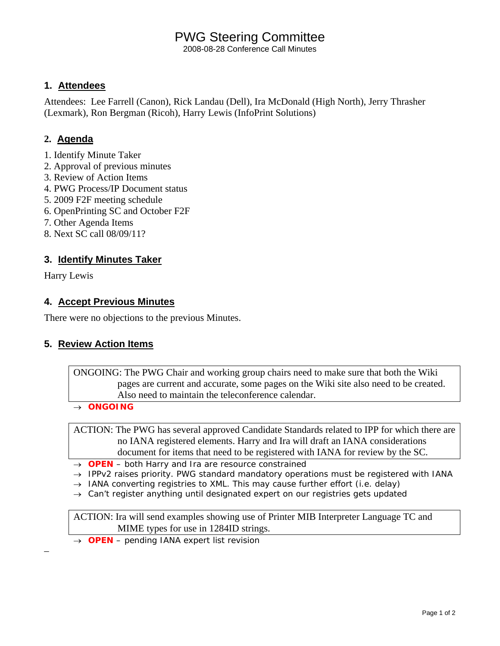# PWG Steering Committee

2008-08-28 Conference Call Minutes

## **1. Attendees**

Attendees: Lee Farrell (Canon), Rick Landau (Dell), Ira McDonald (High North), Jerry Thrasher (Lexmark), Ron Bergman (Ricoh), Harry Lewis (InfoPrint Solutions)

## **2. Agenda**

- 1. Identify Minute Taker
- 2. Approval of previous minutes
- 3. Review of Action Items
- 4. PWG Process/IP Document status
- 5. 2009 F2F meeting schedule
- 6. OpenPrinting SC and October F2F
- 7. Other Agenda Items
- 8. Next SC call 08/09/11?

## **3. Identify Minutes Taker**

Harry Lewis

–

### **4. Accept Previous Minutes**

There were no objections to the previous Minutes.

### **5. Review Action Items**

ONGOING: The PWG Chair and working group chairs need to make sure that both the Wiki pages are current and accurate, some pages on the Wiki site also need to be created. Also need to maintain the teleconference calendar.

→ *ONGOING* 

ACTION: The PWG has several approved Candidate Standards related to IPP for which there are no IANA registered elements. Harry and Ira will draft an IANA considerations document for items that need to be registered with IANA for review by the SC.

- → *OPEN both Harry and Ira are resource constrained*
- → *IPPv2 raises priority. PWG standard mandatory operations must be registered with IANA*
- → *IANA converting registries to XML. This may cause further effort (i.e. delay)*
- → *Can't register anything until designated expert on our registries gets updated*

ACTION: Ira will send examples showing use of Printer MIB Interpreter Language TC and MIME types for use in 1284ID strings.

→ *OPEN – pending IANA expert list revision*